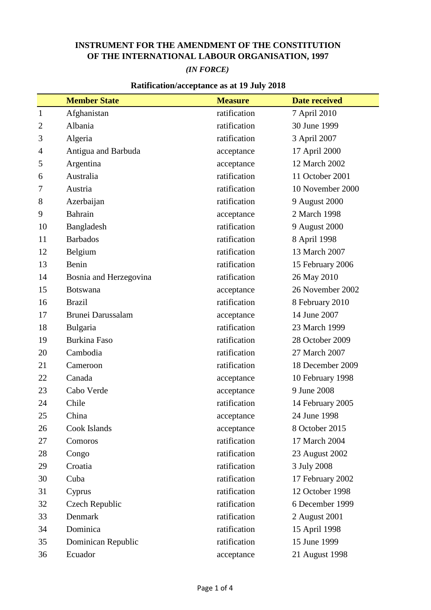## **INSTRUMENT FOR THE AMENDMENT OF THE CONSTITUTION OF THE INTERNATIONAL LABOUR ORGANISATION, 1997**

## *(IN FORCE)*

## **Ratification/acceptance as at 19 July 2018**

|                | <b>Member State</b>      | <b>Measure</b> | <b>Date received</b> |
|----------------|--------------------------|----------------|----------------------|
| $\mathbf{1}$   | Afghanistan              | ratification   | 7 April 2010         |
| $\overline{c}$ | Albania                  | ratification   | 30 June 1999         |
| 3              | Algeria                  | ratification   | 3 April 2007         |
| 4              | Antigua and Barbuda      | acceptance     | 17 April 2000        |
| 5              | Argentina                | acceptance     | 12 March 2002        |
| 6              | Australia                | ratification   | 11 October 2001      |
| 7              | Austria                  | ratification   | 10 November 2000     |
| 8              | Azerbaijan               | ratification   | 9 August 2000        |
| 9              | Bahrain                  | acceptance     | 2 March 1998         |
| 10             | Bangladesh               | ratification   | 9 August 2000        |
| 11             | <b>Barbados</b>          | ratification   | 8 April 1998         |
| 12             | Belgium                  | ratification   | 13 March 2007        |
| 13             | Benin                    | ratification   | 15 February 2006     |
| 14             | Bosnia and Herzegovina   | ratification   | 26 May 2010          |
| 15             | <b>Botswana</b>          | acceptance     | 26 November 2002     |
| 16             | <b>Brazil</b>            | ratification   | 8 February 2010      |
| 17             | <b>Brunei Darussalam</b> | acceptance     | 14 June 2007         |
| 18             | Bulgaria                 | ratification   | 23 March 1999        |
| 19             | <b>Burkina Faso</b>      | ratification   | 28 October 2009      |
| 20             | Cambodia                 | ratification   | 27 March 2007        |
| 21             | Cameroon                 | ratification   | 18 December 2009     |
| 22             | Canada                   | acceptance     | 10 February 1998     |
| 23             | Cabo Verde               | acceptance     | 9 June 2008          |
| 24             | Chile                    | ratification   | 14 February 2005     |
| 25             | China                    | acceptance     | 24 June 1998         |
| 26             | Cook Islands             | acceptance     | 8 October 2015       |
| 27             | Comoros                  | ratification   | 17 March 2004        |
| 28             | Congo                    | ratification   | 23 August 2002       |
| 29             | Croatia                  | ratification   | 3 July 2008          |
| 30             | Cuba                     | ratification   | 17 February 2002     |
| 31             | Cyprus                   | ratification   | 12 October 1998      |
| 32             | Czech Republic           | ratification   | 6 December 1999      |
| 33             | Denmark                  | ratification   | 2 August 2001        |
| 34             | Dominica                 | ratification   | 15 April 1998        |
| 35             | Dominican Republic       | ratification   | 15 June 1999         |
| 36             | Ecuador                  | acceptance     | 21 August 1998       |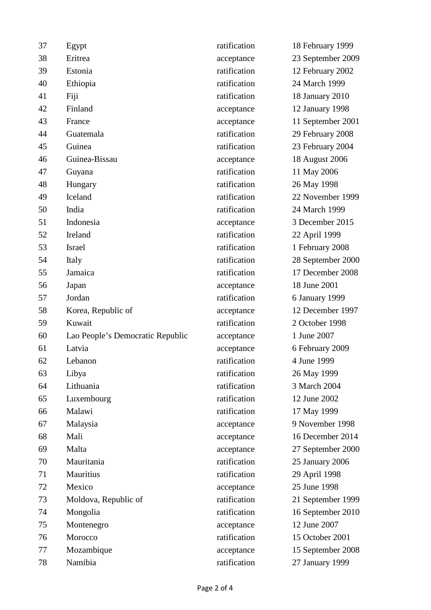| 37 | Egypt                            | ratification | 18 February 1999  |
|----|----------------------------------|--------------|-------------------|
| 38 | Eritrea                          | acceptance   | 23 September 2009 |
| 39 | Estonia                          | ratification | 12 February 2002  |
| 40 | Ethiopia                         | ratification | 24 March 1999     |
| 41 | Fiji                             | ratification | 18 January 2010   |
| 42 | Finland                          | acceptance   | 12 January 1998   |
| 43 | France                           | acceptance   | 11 September 2001 |
| 44 | Guatemala                        | ratification | 29 February 2008  |
| 45 | Guinea                           | ratification | 23 February 2004  |
| 46 | Guinea-Bissau                    | acceptance   | 18 August 2006    |
| 47 | Guyana                           | ratification | 11 May 2006       |
| 48 | Hungary                          | ratification | 26 May 1998       |
| 49 | Iceland                          | ratification | 22 November 1999  |
| 50 | India                            | ratification | 24 March 1999     |
| 51 | Indonesia                        | acceptance   | 3 December 2015   |
| 52 | Ireland                          | ratification | 22 April 1999     |
| 53 | <b>Israel</b>                    | ratification | 1 February 2008   |
| 54 | Italy                            | ratification | 28 September 2000 |
| 55 | Jamaica                          | ratification | 17 December 2008  |
| 56 | Japan                            | acceptance   | 18 June 2001      |
| 57 | Jordan                           | ratification | 6 January 1999    |
| 58 | Korea, Republic of               | acceptance   | 12 December 1997  |
| 59 | Kuwait                           | ratification | 2 October 1998    |
| 60 | Lao People's Democratic Republic | acceptance   | 1 June 2007       |
| 61 | Latvia                           | acceptance   | 6 February 2009   |
| 62 | Lebanon                          | ratification | 4 June 1999       |
| 63 | Libya                            | ratification | 26 May 1999       |
| 64 | Lithuania                        | ratification | 3 March 2004      |
| 65 | Luxembourg                       | ratification | 12 June 2002      |
| 66 | Malawi                           | ratification | 17 May 1999       |
| 67 | Malaysia                         | acceptance   | 9 November 1998   |
| 68 | Mali                             | acceptance   | 16 December 2014  |
| 69 | Malta                            | acceptance   | 27 September 2000 |
| 70 | Mauritania                       | ratification | 25 January 2006   |
| 71 | Mauritius                        | ratification | 29 April 1998     |
| 72 | Mexico                           | acceptance   | 25 June 1998      |
| 73 | Moldova, Republic of             | ratification | 21 September 1999 |
| 74 | Mongolia                         | ratification | 16 September 2010 |
| 75 | Montenegro                       | acceptance   | 12 June 2007      |
| 76 | Morocco                          | ratification | 15 October 2001   |
| 77 | Mozambique                       | acceptance   | 15 September 2008 |
| 78 | Namibia                          | ratification | 27 January 1999   |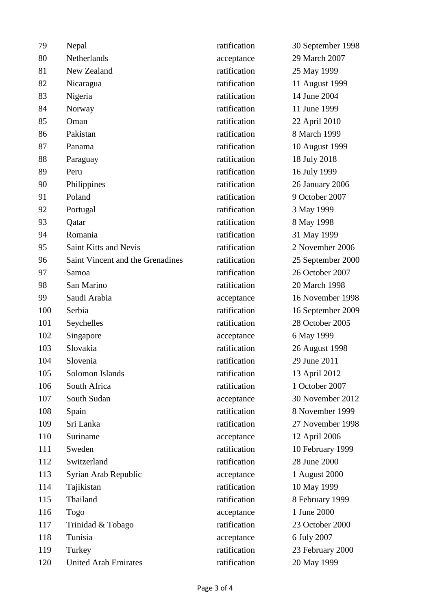| 79  | Nepal                            | ratification | 30 September 1998 |
|-----|----------------------------------|--------------|-------------------|
| 80  | Netherlands                      | acceptance   | 29 March 2007     |
| 81  | New Zealand                      | ratification | 25 May 1999       |
| 82  | Nicaragua                        | ratification | 11 August 1999    |
| 83  | Nigeria                          | ratification | 14 June 2004      |
| 84  | Norway                           | ratification | 11 June 1999      |
| 85  | Oman                             | ratification | 22 April 2010     |
| 86  | Pakistan                         | ratification | 8 March 1999      |
| 87  | Panama                           | ratification | 10 August 1999    |
| 88  | Paraguay                         | ratification | 18 July 2018      |
| 89  | Peru                             | ratification | 16 July 1999      |
| 90  | Philippines                      | ratification | 26 January 2006   |
| 91  | Poland                           | ratification | 9 October 2007    |
| 92  | Portugal                         | ratification | 3 May 1999        |
| 93  | Qatar                            | ratification | 8 May 1998        |
| 94  | Romania                          | ratification | 31 May 1999       |
| 95  | <b>Saint Kitts and Nevis</b>     | ratification | 2 November 2006   |
| 96  | Saint Vincent and the Grenadines | ratification | 25 September 2000 |
| 97  | Samoa                            | ratification | 26 October 2007   |
| 98  | San Marino                       | ratification | 20 March 1998     |
| 99  | Saudi Arabia                     | acceptance   | 16 November 1998  |
| 100 | Serbia                           | ratification | 16 September 2009 |
| 101 | Seychelles                       | ratification | 28 October 2005   |
| 102 | Singapore                        | acceptance   | 6 May 1999        |
| 103 | Slovakia                         | ratification | 26 August 1998    |
| 104 | Slovenia                         | ratification | 29 June 2011      |
| 105 | Solomon Islands                  | ratification | 13 April 2012     |
| 106 | South Africa                     | ratification | 1 October 2007    |
| 107 | South Sudan                      | acceptance   | 30 November 2012  |
| 108 | Spain                            | ratification | 8 November 1999   |
| 109 | Sri Lanka                        | ratification | 27 November 1998  |
| 110 | Suriname                         | acceptance   | 12 April 2006     |
| 111 | Sweden                           | ratification | 10 February 1999  |
| 112 | Switzerland                      | ratification | 28 June 2000      |
| 113 | Syrian Arab Republic             | acceptance   | 1 August 2000     |
| 114 | Tajikistan                       | ratification | 10 May 1999       |
| 115 | Thailand                         | ratification | 8 February 1999   |
| 116 | Togo                             | acceptance   | 1 June 2000       |
| 117 | Trinidad & Tobago                | ratification | 23 October 2000   |
| 118 | Tunisia                          | acceptance   | 6 July 2007       |
| 119 | Turkey                           | ratification | 23 February 2000  |
| 120 | <b>United Arab Emirates</b>      | ratification | 20 May 1999       |